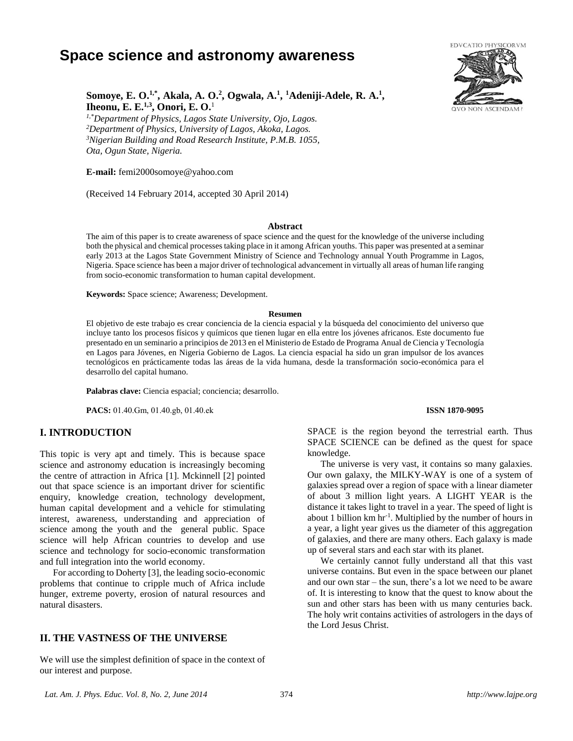# **Space science and astronomy awareness**



# **Somoye, E. O.1,\*, Akala, A. O.<sup>2</sup> , Ogwala, A.<sup>1</sup> , <sup>1</sup>Adeniji-Adele, R. A.<sup>1</sup> , Iheonu, E. E.1,3, Onori, E. O.**<sup>1</sup>

*1,\*Department of Physics, Lagos State University, Ojo, Lagos. <sup>2</sup>Department of Physics, University of Lagos, Akoka, Lagos. <sup>3</sup>Nigerian Building and Road Research Institute, P.M.B. 1055, Ota, Ogun State, Nigeria.*

**E-mail:** femi2000somoye@yahoo.com

(Received 14 February 2014, accepted 30 April 2014)

#### **Abstract**

The aim of this paper is to create awareness of space science and the quest for the knowledge of the universe including both the physical and chemical processes taking place in it among African youths. This paper was presented at a seminar early 2013 at the Lagos State Government Ministry of Science and Technology annual Youth Programme in Lagos, Nigeria. Space science has been a major driver of technological advancement in virtually all areas of human life ranging from socio-economic transformation to human capital development.

**Keywords:** Space science; Awareness; Development.

#### **Resumen**

El objetivo de este trabajo es crear conciencia de la ciencia espacial y la búsqueda del conocimiento del universo que incluye tanto los procesos físicos y químicos que tienen lugar en ella entre los jóvenes africanos. Este documento fue presentado en un seminario a principios de 2013 en el Ministerio de Estado de Programa Anual de Ciencia y Tecnología en Lagos para Jóvenes, en Nigeria Gobierno de Lagos. La ciencia espacial ha sido un gran impulsor de los avances tecnológicos en prácticamente todas las áreas de la vida humana, desde la transformación socio-económica para el desarrollo del capital humano.

**Palabras clave:** Ciencia espacial; conciencia; desarrollo.

**PACS:** 01.40.Gm, 01.40.gb, 01.40.ek **ISSN 1870-9095** 

#### **I. INTRODUCTION**

This topic is very apt and timely. This is because space science and astronomy education is increasingly becoming the centre of attraction in Africa [1]. Mckinnell [2] pointed out that space science is an important driver for scientific enquiry, knowledge creation, technology development, human capital development and a vehicle for stimulating interest, awareness, understanding and appreciation of science among the youth and the general public. Space science will help African countries to develop and use science and technology for socio-economic transformation and full integration into the world economy.

For according to Doherty [3], the leading socio-economic problems that continue to cripple much of Africa include hunger, extreme poverty, erosion of natural resources and natural disasters.

#### **II. THE VASTNESS OF THE UNIVERSE**

We will use the simplest definition of space in the context of our interest and purpose.

SPACE is the region beyond the terrestrial earth. Thus SPACE SCIENCE can be defined as the quest for space knowledge.

The universe is very vast, it contains so many galaxies. Our own galaxy, the MILKY-WAY is one of a system of galaxies spread over a region of space with a linear diameter of about 3 million light years. A LIGHT YEAR is the distance it takes light to travel in a year. The speed of light is about 1 billion km hr-1 . Multiplied by the number of hours in a year, a light year gives us the diameter of this aggregation of galaxies, and there are many others. Each galaxy is made up of several stars and each star with its planet.

We certainly cannot fully understand all that this vast universe contains. But even in the space between our planet and our own star – the sun, there's a lot we need to be aware of. It is interesting to know that the quest to know about the sun and other stars has been with us many centuries back. The holy writ contains activities of astrologers in the days of the Lord Jesus Christ.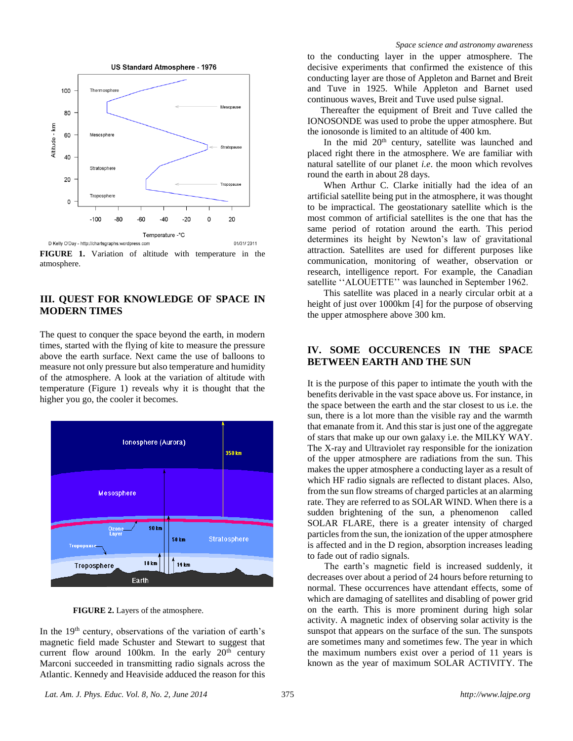

**FIGURE 1.** Variation of altitude with temperature in the atmosphere.

### **III. QUEST FOR KNOWLEDGE OF SPACE IN MODERN TIMES**

The quest to conquer the space beyond the earth, in modern times, started with the flying of kite to measure the pressure above the earth surface. Next came the use of balloons to measure not only pressure but also temperature and humidity of the atmosphere. A look at the variation of altitude with temperature (Figure 1) reveals why it is thought that the higher you go, the cooler it becomes.



**FIGURE 2.** Layers of the atmosphere.

In the 19<sup>th</sup> century, observations of the variation of earth's magnetic field made Schuster and Stewart to suggest that current flow around 100km. In the early  $20<sup>th</sup>$  century Marconi succeeded in transmitting radio signals across the Atlantic. Kennedy and Heaviside adduced the reason for this to the conducting layer in the upper atmosphere. The decisive experiments that confirmed the existence of this conducting layer are those of Appleton and Barnet and Breit and Tuve in 1925. While Appleton and Barnet used continuous waves, Breit and Tuve used pulse signal.

Thereafter the equipment of Breit and Tuve called the IONOSONDE was used to probe the upper atmosphere. But the ionosonde is limited to an altitude of 400 km.

In the mid  $20<sup>th</sup>$  century, satellite was launched and placed right there in the atmosphere. We are familiar with natural satellite of our planet *i.e*. the moon which revolves round the earth in about 28 days.

When Arthur C. Clarke initially had the idea of an artificial satellite being put in the atmosphere, it was thought to be impractical. The geostationary satellite which is the most common of artificial satellites is the one that has the same period of rotation around the earth. This period determines its height by Newton's law of gravitational attraction. Satellites are used for different purposes like communication, monitoring of weather, observation or research, intelligence report. For example, the Canadian satellite "ALOUETTE" was launched in September 1962.

This satellite was placed in a nearly circular orbit at a height of just over 1000km [4] for the purpose of observing the upper atmosphere above 300 km.

## **IV. SOME OCCURENCES IN THE SPACE BETWEEN EARTH AND THE SUN**

It is the purpose of this paper to intimate the youth with the benefits derivable in the vast space above us. For instance, in the space between the earth and the star closest to us i.e. the sun, there is a lot more than the visible ray and the warmth that emanate from it. And this star is just one of the aggregate of stars that make up our own galaxy i.e. the MILKY WAY. The X-ray and Ultraviolet ray responsible for the ionization of the upper atmosphere are radiations from the sun. This makes the upper atmosphere a conducting layer as a result of which HF radio signals are reflected to distant places. Also, from the sun flow streams of charged particles at an alarming rate. They are referred to as SOLAR WIND. When there is a sudden brightening of the sun, a phenomenon called SOLAR FLARE, there is a greater intensity of charged particles from the sun, the ionization of the upper atmosphere is affected and in the D region, absorption increases leading to fade out of radio signals.

The earth's magnetic field is increased suddenly, it decreases over about a period of 24 hours before returning to normal. These occurrences have attendant effects, some of which are damaging of satellites and disabling of power grid on the earth. This is more prominent during high solar activity. A magnetic index of observing solar activity is the sunspot that appears on the surface of the sun. The sunspots are sometimes many and sometimes few. The year in which the maximum numbers exist over a period of 11 years is known as the year of maximum SOLAR ACTIVITY. The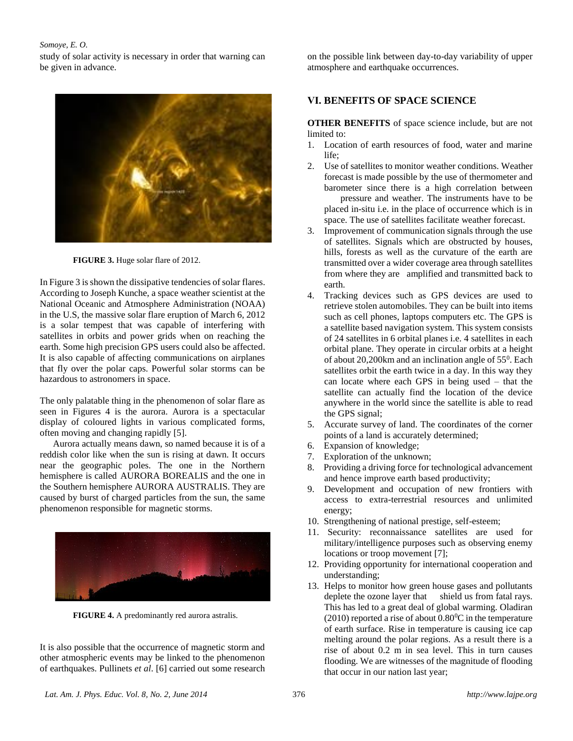#### *Somoye, E. O.*

study of solar activity is necessary in order that warning can be given in advance.



**FIGURE 3.** Huge solar flare of 2012.

In Figure 3 is shown the dissipative tendencies of solar flares. According to Joseph Kunche, a space weather scientist at the National Oceanic and Atmosphere Administration (NOAA) in the U.S, the massive solar flare eruption of March 6, 2012 is a solar tempest that was capable of interfering with satellites in orbits and power grids when on reaching the earth. Some high precision GPS users could also be affected. It is also capable of affecting communications on airplanes that fly over the polar caps. Powerful solar storms can be hazardous to astronomers in space.

The only palatable thing in the phenomenon of solar flare as seen in Figures 4 is the aurora. Aurora is a spectacular display of coloured lights in various complicated forms, often moving and changing rapidly [5].

Aurora actually means dawn, so named because it is of a reddish color like when the sun is rising at dawn. It occurs near the geographic poles. The one in the Northern hemisphere is called AURORA BOREALIS and the one in the Southern hemisphere AURORA AUSTRALIS. They are caused by burst of charged particles from the sun, the same phenomenon responsible for magnetic storms.



**FIGURE 4.** [A predominantly red aurora astralis.](http://en.wikipedia.org/wiki/File:Aurora_australis_panorama.jpg)

It is also possible that the occurrence of magnetic storm and other atmospheric events may be linked to the phenomenon of earthquakes. Pullinets *et al*. [6] carried out some research on the possible link between day-to-day variability of upper atmosphere and earthquake occurrences.

### **VI. BENEFITS OF SPACE SCIENCE**

**OTHER BENEFITS** of space science include, but are not limited to:

- 1. Location of earth resources of food, water and marine  $l$ ife;
- 2. Use of satellites to monitor weather conditions. Weather forecast is made possible by the use of thermometer and barometer since there is a high correlation between pressure and weather. The instruments have to be placed in-situ i.e. in the place of occurrence which is in space. The use of satellites facilitate weather forecast.
- 3. Improvement of communication signals through the use of satellites. Signals which are obstructed by houses, hills, forests as well as the curvature of the earth are transmitted over a wider coverage area through satellites from where they are amplified and transmitted back to earth.
- 4. Tracking devices such as GPS devices are used to retrieve stolen automobiles. They can be built into items such as cell phones, laptops computers etc. The GPS is a satellite based navigation system. This system consists of 24 satellites in 6 orbital planes i.e. 4 satellites in each orbital plane. They operate in circular orbits at a height of about  $20,200$ km and an inclination angle of  $55^0$ . Each satellites orbit the earth twice in a day. In this way they can locate where each GPS in being used – that the satellite can actually find the location of the device anywhere in the world since the satellite is able to read the GPS signal;
- 5. Accurate survey of land. The coordinates of the corner points of a land is accurately determined;
- 6. Expansion of knowledge;
- 7. Exploration of the unknown;
- 8. Providing a driving force for technological advancement and hence improve earth based productivity;
- 9. Development and occupation of new frontiers with access to extra-terrestrial resources and unlimited energy;
- 10. Strengthening of national prestige, self-esteem;
- 11. Security: reconnaissance satellites are used for military/intelligence purposes such as observing enemy locations or troop movement [7];
- 12. Providing opportunity for international cooperation and understanding;
- 13. Helps to monitor how green house gases and pollutants deplete the ozone layer that shield us from fatal rays. This has led to a great deal of global warming. Oladiran (2010) reported a rise of about  $0.80^{\circ}$ C in the temperature of earth surface. Rise in temperature is causing ice cap melting around the polar regions. As a result there is a rise of about 0.2 m in sea level. This in turn causes flooding. We are witnesses of the magnitude of flooding that occur in our nation last year;